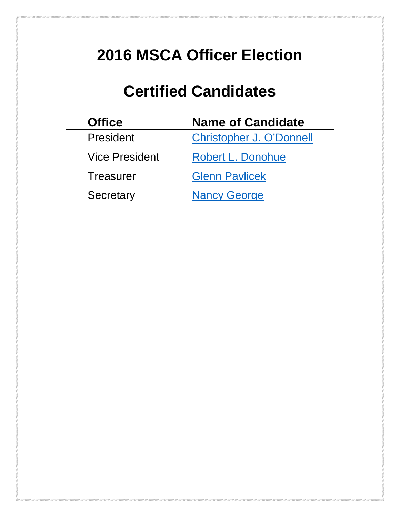# <span id="page-0-0"></span>**2016 MSCA Officer Election**

# **Certified Candidates**

| <b>Office</b>         | <b>Name of Candidate</b>        |
|-----------------------|---------------------------------|
| President             | <b>Christopher J. O'Donnell</b> |
| <b>Vice President</b> | <b>Robert L. Donohue</b>        |
| Treasurer             | <b>Glenn Pavlicek</b>           |
| Secretary             | <b>Nancy George</b>             |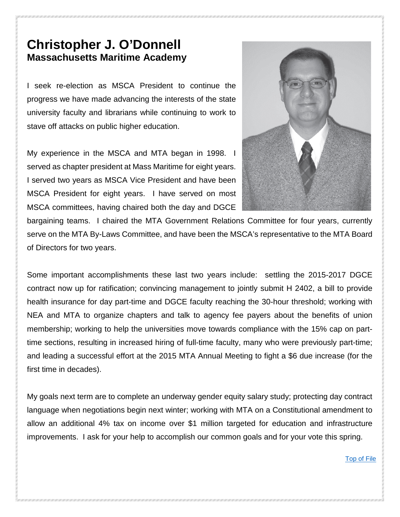#### <span id="page-1-0"></span>**Christopher J. O'Donnell Massachusetts Maritime Academy**

I seek re-election as MSCA President to continue the progress we have made advancing the interests of the state university faculty and librarians while continuing to work to stave off attacks on public higher education.

My experience in the MSCA and MTA began in 1998. I served as chapter president at Mass Maritime for eight years. I served two years as MSCA Vice President and have been MSCA President for eight years. I have served on most MSCA committees, having chaired both the day and DGCE



bargaining teams. I chaired the MTA Government Relations Committee for four years, currently serve on the MTA By-Laws Committee, and have been the MSCA's representative to the MTA Board of Directors for two years.

Some important accomplishments these last two years include: settling the 2015-2017 DGCE contract now up for ratification; convincing management to jointly submit H 2402, a bill to provide health insurance for day part-time and DGCE faculty reaching the 30-hour threshold; working with NEA and MTA to organize chapters and talk to agency fee payers about the benefits of union membership; working to help the universities move towards compliance with the 15% cap on parttime sections, resulting in increased hiring of full-time faculty, many who were previously part-time; and leading a successful effort at the 2015 MTA Annual Meeting to fight a \$6 due increase (for the first time in decades).

My goals next term are to complete an underway gender equity salary study; protecting day contract language when negotiations begin next winter; working with MTA on a Constitutional amendment to allow an additional 4% tax on income over \$1 million targeted for education and infrastructure improvements. I ask for your help to accomplish our common goals and for your vote this spring.

[Top of File](#page-0-0)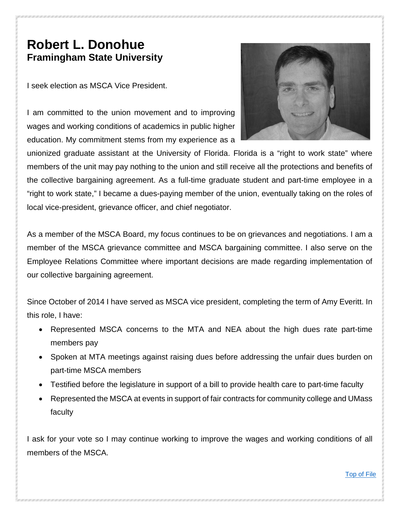#### <span id="page-2-0"></span>**Robert L. Donohue Framingham State University**

I seek election as MSCA Vice President.

I am committed to the union movement and to improving wages and working conditions of academics in public higher education. My commitment stems from my experience as a



unionized graduate assistant at the University of Florida. Florida is a "right to work state" where members of the unit may pay nothing to the union and still receive all the protections and benefits of the collective bargaining agreement. As a full-time graduate student and part-time employee in a "right to work state," I became a dues-paying member of the union, eventually taking on the roles of local vice-president, grievance officer, and chief negotiator.

As a member of the MSCA Board, my focus continues to be on grievances and negotiations. I am a member of the MSCA grievance committee and MSCA bargaining committee. I also serve on the Employee Relations Committee where important decisions are made regarding implementation of our collective bargaining agreement.

Since October of 2014 I have served as MSCA vice president, completing the term of Amy Everitt. In this role, I have:

- Represented MSCA concerns to the MTA and NEA about the high dues rate part-time members pay
- Spoken at MTA meetings against raising dues before addressing the unfair dues burden on part-time MSCA members
- Testified before the legislature in support of a bill to provide health care to part-time faculty
- Represented the MSCA at events in support of fair contracts for community college and UMass faculty

I ask for your vote so I may continue working to improve the wages and working conditions of all members of the MSCA.

[Top of File](#page-0-0)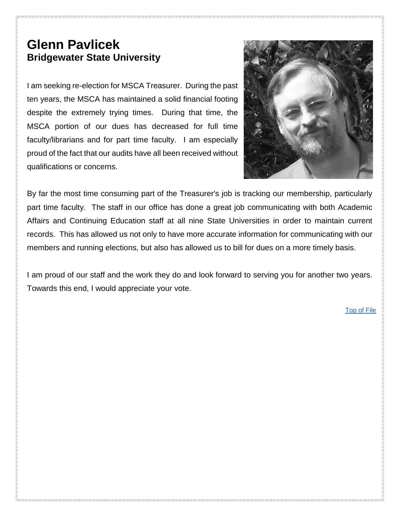## <span id="page-3-0"></span>**Glenn Pavlicek Bridgewater State University**

I am seeking re-election for MSCA Treasurer. During the past ten years, the MSCA has maintained a solid financial footing despite the extremely trying times. During that time, the MSCA portion of our dues has decreased for full time faculty/librarians and for part time faculty. I am especially proud of the fact that our audits have all been received without qualifications or concerns.



By far the most time consuming part of the Treasurer's job is tracking our membership, particularly part time faculty. The staff in our office has done a great job communicating with both Academic Affairs and Continuing Education staff at all nine State Universities in order to maintain current records. This has allowed us not only to have more accurate information for communicating with our members and running elections, but also has allowed us to bill for dues on a more timely basis.

I am proud of our staff and the work they do and look forward to serving you for another two years. Towards this end, I would appreciate your vote.

[Top of File](#page-0-0)